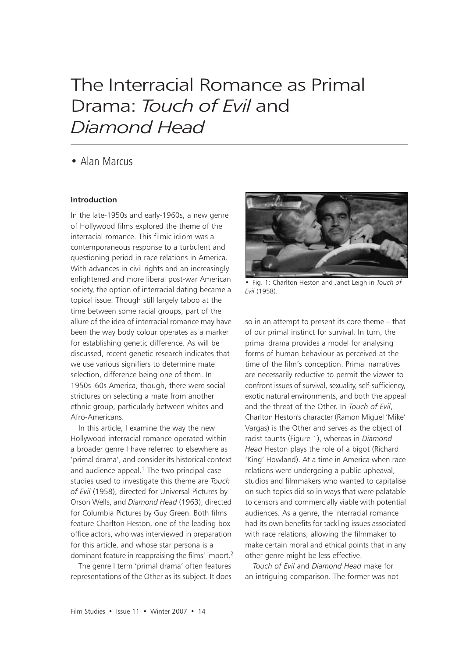# The Interracial Romance as Primal Drama: *Touch of Evil* and *Diamond Head*

## • Alan Marcus

#### **Introduction**

In the late-1950s and early-1960s, a new genre of Hollywood films explored the theme of the interracial romance. This filmic idiom was a contemporaneous response to a turbulent and questioning period in race relations in America. With advances in civil rights and an increasingly enlightened and more liberal post-war American society, the option of interracial dating became a topical issue. Though still largely taboo at the time between some racial groups, part of the allure of the idea of interracial romance may have been the way body colour operates as a marker for establishing genetic difference. As will be discussed, recent genetic research indicates that we use various signifiers to determine mate selection, difference being one of them. In 1950s–60s America, though, there were social strictures on selecting a mate from another ethnic group, particularly between whites and Afro-Americans.

In this article, I examine the way the new Hollywood interracial romance operated within a broader genre I have referred to elsewhere as 'primal drama', and consider its historical context and audience appeal. $1$  The two principal case studies used to investigate this theme are *Touch of Evil* (1958), directed for Universal Pictures by Orson Wells, and *Diamond Head* (1963), directed for Columbia Pictures by Guy Green. Both films feature Charlton Heston, one of the leading box office actors, who was interviewed in preparation for this article, and whose star persona is a dominant feature in reappraising the films' import.2

The genre I term 'primal drama' often features representations of the Other as its subject. It does



• Fig. 1: Charlton Heston and Janet Leigh in *Touch of Evil* (1958).

so in an attempt to present its core theme – that of our primal instinct for survival. In turn, the primal drama provides a model for analysing forms of human behaviour as perceived at the time of the film's conception. Primal narratives are necessarily reductive to permit the viewer to confront issues of survival, sexuality, self-sufficiency, exotic natural environments, and both the appeal and the threat of the Other. In *Touch of Evil*, Charlton Heston's character (Ramon Miguel 'Mike' Vargas) is the Other and serves as the object of racist taunts (Figure 1), whereas in *Diamond Head* Heston plays the role of a bigot (Richard 'King' Howland). At a time in America when race relations were undergoing a public upheaval, studios and filmmakers who wanted to capitalise on such topics did so in ways that were palatable to censors and commercially viable with potential audiences. As a genre, the interracial romance had its own benefits for tackling issues associated with race relations, allowing the filmmaker to make certain moral and ethical points that in any other genre might be less effective.

*Touch of Evil* and *Diamond Head* make for an intriguing comparison. The former was not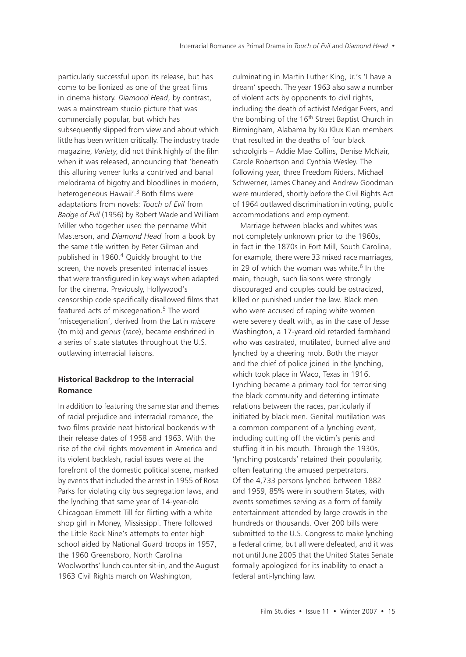particularly successful upon its release, but has come to be lionized as one of the great films in cinema history. *Diamond Head*, by contrast, was a mainstream studio picture that was commercially popular, but which has subsequently slipped from view and about which little has been written critically. The industry trade magazine, *Variety*, did not think highly of the film when it was released, announcing that 'beneath this alluring veneer lurks a contrived and banal melodrama of bigotry and bloodlines in modern, heterogeneous Hawaii'.<sup>3</sup> Both films were adaptations from novels: *Touch of Evil* from *Badge of Evil* (1956) by Robert Wade and William Miller who together used the penname Whit Masterson, and *Diamond Head* from a book by the same title written by Peter Gilman and published in 1960.4 Quickly brought to the screen, the novels presented interracial issues that were transfigured in key ways when adapted for the cinema. Previously, Hollywood's censorship code specifically disallowed films that featured acts of miscegenation.<sup>5</sup> The word 'miscegenation', derived from the Latin *miscere* (to mix) and *genus* (race), became enshrined in a series of state statutes throughout the U.S. outlawing interracial liaisons.

#### **Historical Backdrop to the Interracial Romance**

In addition to featuring the same star and themes of racial prejudice and interracial romance, the two films provide neat historical bookends with their release dates of 1958 and 1963. With the rise of the civil rights movement in America and its violent backlash, racial issues were at the forefront of the domestic political scene, marked by events that included the arrest in 1955 of Rosa Parks for violating city bus segregation laws, and the lynching that same year of 14-year-old Chicagoan Emmett Till for flirting with a white shop girl in Money, Mississippi. There followed the Little Rock Nine's attempts to enter high school aided by National Guard troops in 1957, the 1960 Greensboro, North Carolina Woolworths' lunch counter sit-in, and the August 1963 Civil Rights march on Washington,

culminating in Martin Luther King, Jr.'s 'I have a dream' speech. The year 1963 also saw a number of violent acts by opponents to civil rights, including the death of activist Medgar Evers, and the bombing of the 16<sup>th</sup> Street Baptist Church in Birmingham, Alabama by Ku Klux Klan members that resulted in the deaths of four black schoolgirls – Addie Mae Collins, Denise McNair, Carole Robertson and Cynthia Wesley. The following year, three Freedom Riders, Michael Schwerner, James Chaney and Andrew Goodman were murdered, shortly before the Civil Rights Act of 1964 outlawed discrimination in voting, public accommodations and employment.

Marriage between blacks and whites was not completely unknown prior to the 1960s, in fact in the 1870s in Fort Mill, South Carolina, for example, there were 33 mixed race marriages, in 29 of which the woman was white.<sup>6</sup> In the main, though, such liaisons were strongly discouraged and couples could be ostracized, killed or punished under the law. Black men who were accused of raping white women were severely dealt with, as in the case of Jesse Washington, a 17-yeard old retarded farmhand who was castrated, mutilated, burned alive and lynched by a cheering mob. Both the mayor and the chief of police joined in the lynching, which took place in Waco, Texas in 1916. Lynching became a primary tool for terrorising the black community and deterring intimate relations between the races, particularly if initiated by black men. Genital mutilation was a common component of a lynching event, including cutting off the victim's penis and stuffing it in his mouth. Through the 1930s, 'lynching postcards' retained their popularity, often featuring the amused perpetrators. Of the 4,733 persons lynched between 1882 and 1959, 85% were in southern States, with events sometimes serving as a form of family entertainment attended by large crowds in the hundreds or thousands. Over 200 bills were submitted to the U.S. Congress to make lynching a federal crime, but all were defeated, and it was not until June 2005 that the United States Senate formally apologized for its inability to enact a federal anti-lynching law.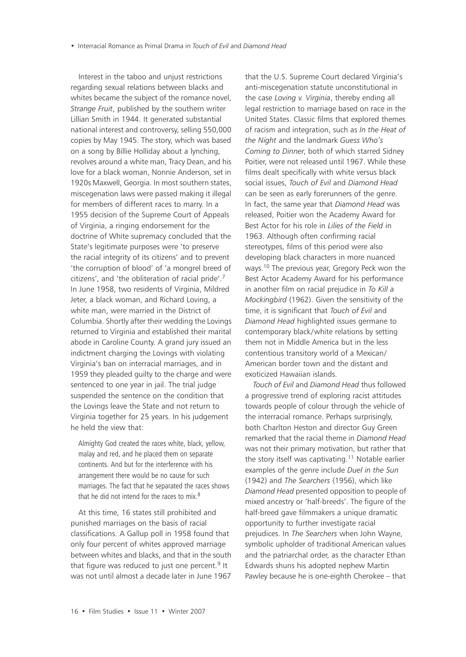Interest in the taboo and unjust restrictions regarding sexual relations between blacks and whites became the subject of the romance novel, *Strange Fruit*, published by the southern writer Lillian Smith in 1944. It generated substantial national interest and controversy, selling 550,000 copies by May 1945. The story, which was based on a song by Billie Holliday about a lynching, revolves around a white man, Tracy Dean, and his love for a black woman, Nonnie Anderson, set in 1920s Maxwell, Georgia. In most southern states, miscegenation laws were passed making it illegal for members of different races to marry. In a 1955 decision of the Supreme Court of Appeals of Virginia, a ringing endorsement for the doctrine of White supremacy concluded that the State's legitimate purposes were 'to preserve the racial integrity of its citizens' and to prevent 'the corruption of blood' of 'a mongrel breed of citizens', and 'the obliteration of racial pride'.7 In June 1958, two residents of Virginia, Mildred Jeter, a black woman, and Richard Loving, a white man, were married in the District of Columbia. Shortly after their wedding the Lovings returned to Virginia and established their marital abode in Caroline County. A grand jury issued an indictment charging the Lovings with violating Virginia's ban on interracial marriages, and in 1959 they pleaded quilty to the charge and were sentenced to one year in jail. The trial judge suspended the sentence on the condition that the Lovings leave the State and not return to Virginia together for 25 years. In his judgement he held the view that:

Almighty God created the races white, black, yellow, malay and red, and he placed them on separate continents. And but for the interference with his arrangement there would be no cause for such marriages. The fact that he separated the races shows that he did not intend for the races to mix.<sup>8</sup>

At this time, 16 states still prohibited and punished marriages on the basis of racial classifications. A Gallup poll in 1958 found that only four percent of whites approved marriage between whites and blacks, and that in the south that figure was reduced to just one percent. $9$  It was not until almost a decade later in June 1967

that the U.S. Supreme Court declared Virginia's anti-miscegenation statute unconstitutional in the case *Loving v. Virginia*, thereby ending all legal restriction to marriage based on race in the United States. Classic films that explored themes of racism and integration, such as *In the Heat of the Night* and the landmark *Guess Who's Coming to Dinner*, both of which starred Sidney Poitier, were not released until 1967. While these films dealt specifically with white versus black social issues, *Touch of Evil* and *Diamond Head* can be seen as early forerunners of the genre. In fact, the same year that *Diamond Head* was released, Poitier won the Academy Award for Best Actor for his role in *Lilies of the Field* in 1963. Although often confirming racial stereotypes, films of this period were also developing black characters in more nuanced ways.10 The previous year, Gregory Peck won the Best Actor Academy Award for his performance in another film on racial prejudice in *To Kill a Mockingbird* (1962). Given the sensitivity of the time, it is significant that *Touch of Evil* and *Diamond Head* highlighted issues germane to contemporary black/white relations by setting them not in Middle America but in the less contentious transitory world of a Mexican/ American border town and the distant and exoticized Hawaiian islands.

*Touch of Evil* and *Diamond Head* thus followed a progressive trend of exploring racist attitudes towards people of colour through the vehicle of the interracial romance. Perhaps surprisingly, both Charlton Heston and director Guy Green remarked that the racial theme in *Diamond Head* was not their primary motivation, but rather that the story itself was captivating.<sup>11</sup> Notable earlier examples of the genre include *Duel in the Sun* (1942) and *The Searchers* (1956), which like *Diamond Head* presented opposition to people of mixed ancestry or 'half-breeds'. The figure of the half-breed gave filmmakers a unique dramatic opportunity to further investigate racial prejudices. In *The Searchers* when John Wayne, symbolic upholder of traditional American values and the patriarchal order, as the character Ethan Edwards shuns his adopted nephew Martin Pawley because he is one-eighth Cherokee – that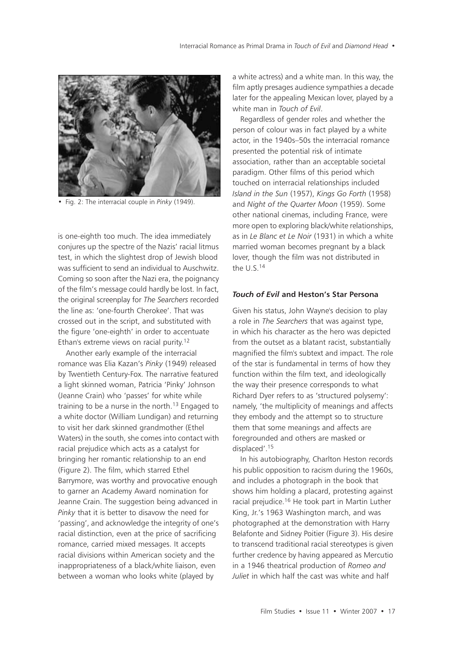

• Fig. 2: The interracial couple in *Pinky* (1949).

is one-eighth too much. The idea immediately conjures up the spectre of the Nazis' racial litmus test, in which the slightest drop of Jewish blood was sufficient to send an individual to Auschwitz. Coming so soon after the Nazi era, the poignancy of the film's message could hardly be lost. In fact, the original screenplay for *The Searchers* recorded the line as: 'one-fourth Cherokee'. That was crossed out in the script, and substituted with the figure 'one-eighth' in order to accentuate Ethan's extreme views on racial purity.12

Another early example of the interracial romance was Elia Kazan's *Pinky* (1949) released by Twentieth Century-Fox. The narrative featured a light skinned woman, Patricia 'Pinky' Johnson (Jeanne Crain) who 'passes' for white while training to be a nurse in the north.<sup>13</sup> Engaged to a white doctor (William Lundigan) and returning to visit her dark skinned grandmother (Ethel Waters) in the south, she comes into contact with racial prejudice which acts as a catalyst for bringing her romantic relationship to an end (Figure 2). The film, which starred Ethel Barrymore, was worthy and provocative enough to garner an Academy Award nomination for Jeanne Crain. The suggestion being advanced in *Pinky* that it is better to disavow the need for 'passing', and acknowledge the integrity of one's racial distinction, even at the price of sacrificing romance, carried mixed messages. It accepts racial divisions within American society and the inappropriateness of a black/white liaison, even between a woman who looks white (played by

a white actress) and a white man. In this way, the film aptly presages audience sympathies a decade later for the appealing Mexican lover, played by a white man in *Touch of Evil*.

Regardless of gender roles and whether the person of colour was in fact played by a white actor, in the 1940s–50s the interracial romance presented the potential risk of intimate association, rather than an acceptable societal paradigm. Other films of this period which touched on interracial relationships included *Island in the Sun* (1957), *Kings Go Forth* (1958) and *Night of the Quarter Moon* (1959). Some other national cinemas, including France, were more open to exploring black/white relationships, as in *Le Blanc et Le Noir* (1931) in which a white married woman becomes pregnant by a black lover, though the film was not distributed in the U.S.14

#### *Touch of Evil* **and Heston's Star Persona**

Given his status, John Wayne's decision to play a role in *The Searchers* that was against type, in which his character as the hero was depicted from the outset as a blatant racist, substantially magnified the film's subtext and impact. The role of the star is fundamental in terms of how they function within the film text, and ideologically the way their presence corresponds to what Richard Dyer refers to as 'structured polysemy': namely, 'the multiplicity of meanings and affects they embody and the attempt so to structure them that some meanings and affects are foregrounded and others are masked or displaced'.15

In his autobiography, Charlton Heston records his public opposition to racism during the 1960s, and includes a photograph in the book that shows him holding a placard, protesting against racial prejudice.16 He took part in Martin Luther King, Jr.'s 1963 Washington march, and was photographed at the demonstration with Harry Belafonte and Sidney Poitier (Figure 3). His desire to transcend traditional racial stereotypes is given further credence by having appeared as Mercutio in a 1946 theatrical production of *Romeo and Juliet* in which half the cast was white and half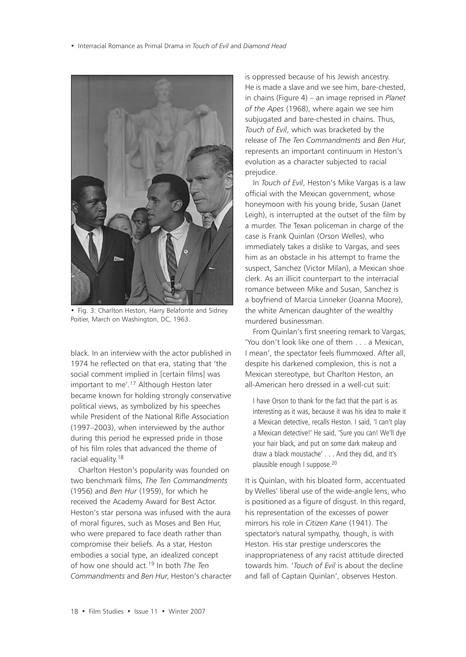• Interracial Romance as Primal Drama in *Touch of Evil* and *Diamond Head*



• Fig. 3: Charlton Heston, Harry Belafonte and Sidney Poitier, March on Washington, DC, 1963.

black. In an interview with the actor published in 1974 he reflected on that era, stating that 'the social comment implied in [certain films] was important to me'.17 Although Heston later became known for holding strongly conservative political views, as symbolized by his speeches while President of the National Rifle Association (1997–2003), when interviewed by the author during this period he expressed pride in those of his film roles that advanced the theme of racial equality.18

Charlton Heston's popularity was founded on two benchmark films, *The Ten Commandments* (1956) and *Ben Hur* (1959), for which he received the Academy Award for Best Actor. Heston's star persona was infused with the aura of moral figures, such as Moses and Ben Hur, who were prepared to face death rather than compromise their beliefs. As a star, Heston embodies a social type, an idealized concept of how one should act.19 In both *The Ten Commandments* and *Ben Hur*, Heston's character

is oppressed because of his Jewish ancestry. He is made a slave and we see him, bare-chested, in chains (Figure 4) – an image reprised in *Planet of the Apes* (1968), where again we see him subjugated and bare-chested in chains. Thus, *Touch of Evil*, which was bracketed by the release of *The Ten Commandments* and *Ben Hur*, represents an important continuum in Heston's evolution as a character subjected to racial prejudice.

In *Touch of Evil*, Heston's Mike Vargas is a law official with the Mexican government, whose honeymoon with his young bride, Susan (Janet Leigh), is interrupted at the outset of the film by a murder. The Texan policeman in charge of the case is Frank Quinlan (Orson Welles), who immediately takes a dislike to Vargas, and sees him as an obstacle in his attempt to frame the suspect, Sanchez (Victor Milan), a Mexican shoe clerk. As an illicit counterpart to the interracial romance between Mike and Susan, Sanchez is a boyfriend of Marcia Linneker (Joanna Moore), the white American daughter of the wealthy murdered businessman.

From Quinlan's first sneering remark to Vargas, 'You don't look like one of them a Mexican I mean', the spectator feels flummoxed. After all, despite his darkened complexion, this is not a Mexican stereotype, but Charlton Heston, an all-American hero dressed in a well-cut suit:

I have Orson to thank for the fact that the part is as interesting as it was, because it was his idea to make it a Mexican detective, recalls Heston. I said, 'I can't play a Mexican detective!' He said, 'Sure you can! We'll dye your hair black, and put on some dark makeup and draw a black moustache' . . . And they did, and it's plausible enough I suppose.20

It is Quinlan, with his bloated form, accentuated by Welles' liberal use of the wide-angle lens, who is positioned as a figure of disgust. In this regard, his representation of the excesses of power mirrors his role in *Citizen Kane* (1941). The spectator's natural sympathy, though, is with Heston. His star prestige underscores the inappropriateness of any racist attitude directed towards him. '*Touch of Evil* is about the decline and fall of Captain Quinlan', observes Heston.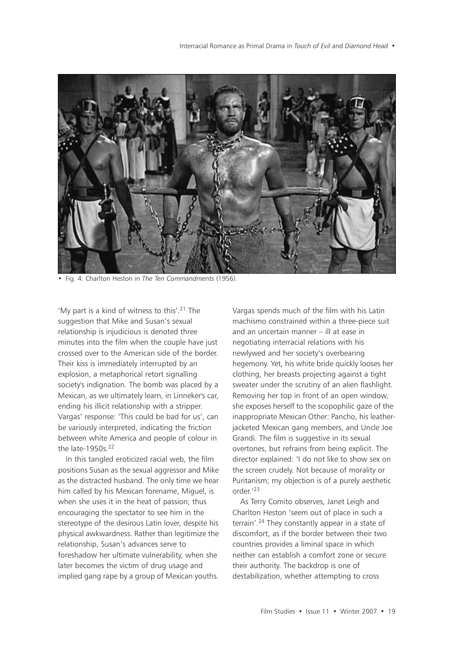

• Fig. 4: Charlton Heston in *The Ten Commandments* (1956).

'My part is a kind of witness to this'.21 The suggestion that Mike and Susan's sexual relationship is injudicious is denoted three minutes into the film when the couple have just crossed over to the American side of the border. Their kiss is immediately interrupted by an explosion, a metaphorical retort signalling society's indignation. The bomb was placed by a Mexican, as we ultimately learn, in Linneker's car, ending his illicit relationship with a stripper. Vargas' response: 'This could be bad for us', can be variously interpreted, indicating the friction between white America and people of colour in the late-1950s.22

In this tangled eroticized racial web, the film positions Susan as the sexual aggressor and Mike as the distracted husband. The only time we hear him called by his Mexican forename, Miguel, is when she uses it in the heat of passion; thus encouraging the spectator to see him in the stereotype of the desirous Latin lover, despite his physical awkwardness. Rather than legitimize the relationship, Susan's advances serve to foreshadow her ultimate vulnerability, when she later becomes the victim of drug usage and implied gang rape by a group of Mexican youths. Vargas spends much of the film with his Latin machismo constrained within a three-piece suit and an uncertain manner – ill at ease in negotiating interracial relations with his newlywed and her society's overbearing hegemony. Yet, his white bride quickly looses her clothing, her breasts projecting against a tight sweater under the scrutiny of an alien flashlight. Removing her top in front of an open window, she exposes herself to the scopophilic gaze of the inappropriate Mexican Other: Pancho, his leatherjacketed Mexican gang members, and Uncle Joe Grandi. The film is suggestive in its sexual overtones, but refrains from being explicit. The director explained: 'I do not like to show sex on the screen crudely. Not because of morality or Puritanism; my objection is of a purely aesthetic order.'23

As Terry Comito observes, Janet Leigh and Charlton Heston 'seem out of place in such a terrain'.24 They constantly appear in a state of discomfort, as if the border between their two countries provides a liminal space in which neither can establish a comfort zone or secure their authority. The backdrop is one of destabilization, whether attempting to cross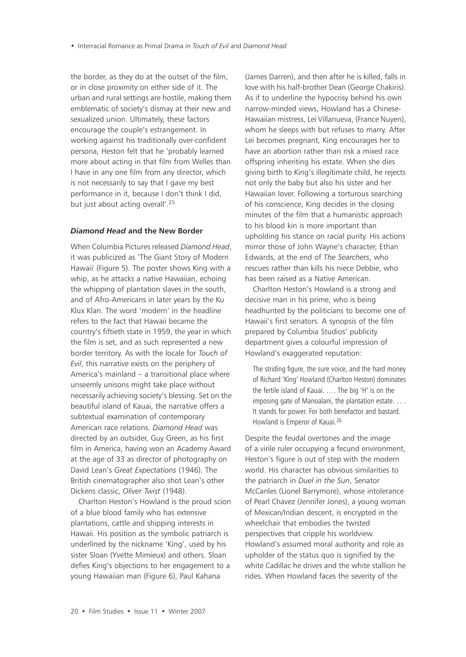the border, as they do at the outset of the film, or in close proximity on either side of it. The urban and rural settings are hostile, making them emblematic of society's dismay at their new and sexualized union. Ultimately, these factors encourage the couple's estrangement. In working against his traditionally over-confident persona, Heston felt that he 'probably learned more about acting in that film from Welles than I have in any one film from any director, which is not necessarily to say that I gave my best performance in it, because I don't think I did, but just about acting overall'.<sup>25</sup>

#### *Diamond Head* **and the New Border**

When Columbia Pictures released *Diamond Head*, it was publicized as 'The Giant Story of Modern Hawaii' (Figure 5). The poster shows King with a whip, as he attacks a native Hawaiian, echoing the whipping of plantation slaves in the south, and of Afro-Americans in later years by the Ku Klux Klan. The word 'modern' in the headline refers to the fact that Hawaii became the country's fiftieth state in 1959, the year in which the film is set, and as such represented a new border territory. As with the locale for *Touch of Evil*, this narrative exists on the periphery of America's mainland – a transitional place where unseemly unisons might take place without necessarily achieving society's blessing. Set on the beautiful island of Kauai, the narrative offers a subtextual examination of contemporary American race relations. *Diamond Head* was directed by an outsider, Guy Green, as his first film in America, having won an Academy Award at the age of 33 as director of photography on David Lean's *Great Expectations* (1946). The British cinematographer also shot Lean's other Dickens classic, *Oliver Twist* (1948).

Charlton Heston's Howland is the proud scion of a blue blood family who has extensive plantations, cattle and shipping interests in Hawaii. His position as the symbolic patriarch is underlined by the nickname 'King', used by his sister Sloan (Yvette Mimieux) and others. Sloan defies King's objections to her engagement to a young Hawaiian man (Figure 6), Paul Kahana

(James Darren), and then after he is killed, falls in love with his half-brother Dean (George Chakiris). As if to underline the hypocrisy behind his own narrow-minded views, Howland has a Chinese-Hawaiian mistress, Lei Villanueva, (France Nuyen), whom he sleeps with but refuses to marry. After Lei becomes pregnant, King encourages her to have an abortion rather than risk a mixed race offspring inheriting his estate. When she dies giving birth to King's illegitimate child, he rejects not only the baby but also his sister and her Hawaiian lover. Following a torturous searching of his conscience, King decides in the closing minutes of the film that a humanistic approach to his blood kin is more important than upholding his stance on racial purity. His actions mirror those of John Wayne's character, Ethan Edwards, at the end of *The Searchers*, who rescues rather than kills his niece Debbie, who has been raised as a Native American.

Charlton Heston's Howland is a strong and decisive man in his prime, who is being headhunted by the politicians to become one of Hawaii's first senators. A synopsis of the film prepared by Columbia Studios' publicity department gives a colourful impression of Howland's exaggerated reputation:

The striding figure, the sure voice, and the hard money of Richard 'King' Howland (Charlton Heston) dominates the fertile island of Kauai. . . . The big 'H' is on the imposing gate of Manoalani, the plantation estate. . . . It stands for power. For both benefactor and bastard. Howland is Emperor of Kauai.26

Despite the feudal overtones and the image of a virile ruler occupying a fecund environment, Heston's figure is out of step with the modern world. His character has obvious similarities to the patriarch in *Duel in the Sun*, Senator McCanles (Lionel Barrymore), whose intolerance of Pearl Chavez (Jennifer Jones), a young woman of Mexican/Indian descent, is encrypted in the wheelchair that embodies the twisted perspectives that cripple his worldview. Howland's assumed moral authority and role as upholder of the status quo is signified by the white Cadillac he drives and the white stallion he rides. When Howland faces the severity of the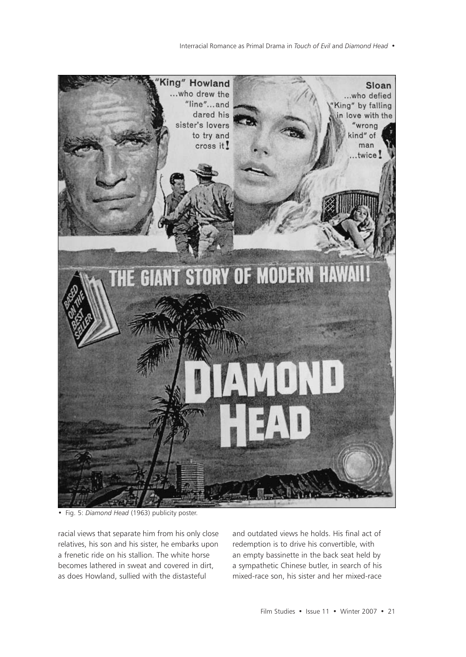Interracial Romance as Primal Drama in *Touch of Evil* and *Diamond Head* •



• Fig. 5: *Diamond Head* (1963) publicity poster.

racial views that separate him from his only close relatives, his son and his sister, he embarks upon a frenetic ride on his stallion. The white horse becomes lathered in sweat and covered in dirt, as does Howland, sullied with the distasteful

and outdated views he holds. His final act of redemption is to drive his convertible, with an empty bassinette in the back seat held by a sympathetic Chinese butler, in search of his mixed-race son, his sister and her mixed-race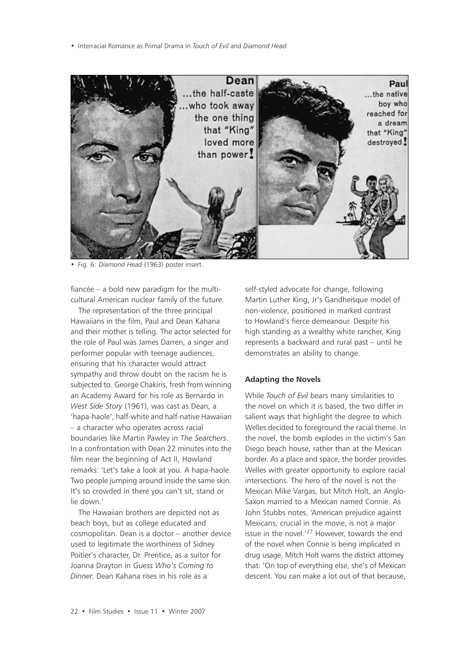• Interracial Romance as Primal Drama in *Touch of Evil* and *Diamond Head*



• Fig. 6*: Diamond Head* (1963) poster insert.

fiancée – a bold new paradigm for the multicultural American nuclear family of the future.

The representation of the three principal Hawaiians in the film, Paul and Dean Kahana and their mother is telling. The actor selected for the role of Paul was James Darren, a singer and performer popular with teenage audiences, ensuring that his character would attract sympathy and throw doubt on the racism he is subjected to. George Chakiris, fresh from winning an Academy Award for his role as Bernardo in *West Side Story* (1961), was cast as Dean, a 'hapa-haole', half-white and half-native Hawaiian – a character who operates across racial boundaries like Martin Pawley in *The Searchers*. In a confrontation with Dean 22 minutes into the film near the beginning of Act II, Howland remarks: 'Let's take a look at you. A hapa-haole. Two people jumping around inside the same skin. It's so crowded in there you can't sit, stand or lie down.'

The Hawaiian brothers are depicted not as beach boys, but as college educated and cosmopolitan. Dean is a doctor – another device used to legitimate the worthiness of Sidney Poitier's character, Dr. Prentice, as a suitor for Joanna Drayton in *Guess Who's Coming to Dinner*. Dean Kahana rises in his role as a

self-styled advocate for change, following Martin Luther King, Jr's Gandheisque model of non-violence, positioned in marked contrast to Howland's fierce demeanour. Despite his high standing as a wealthy white rancher, King represents a backward and rural past – until he demonstrates an ability to change.

#### **Adapting the Novels**

While *Touch of Evil* bears many similarities to the novel on which it is based, the two differ in salient ways that highlight the degree to which Welles decided to foreground the racial theme. In the novel, the bomb explodes in the victim's San Diego beach house, rather than at the Mexican border. As a place and space, the border provides Welles with greater opportunity to explore racial intersections. The hero of the novel is not the Mexican Mike Vargas, but Mitch Holt, an Anglo-Saxon married to a Mexican named Connie. As John Stubbs notes, 'American prejudice against Mexicans, crucial in the movie, is not a major issue in the novel.'27 However, towards the end of the novel when Connie is being implicated in drug usage, Mitch Holt warns the district attorney that: 'On top of everything else, she's of Mexican descent. You can make a lot out of that because,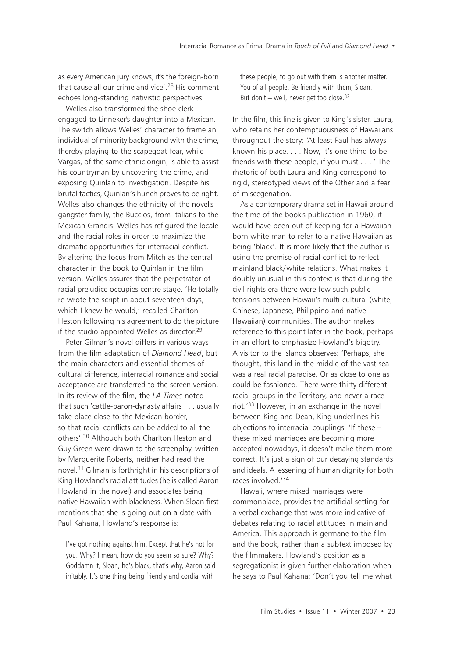as every American jury knows, it's the foreign-born that cause all our crime and vice'.<sup>28</sup> His comment echoes long-standing nativistic perspectives.

Welles also transformed the shoe clerk engaged to Linneker's daughter into a Mexican. The switch allows Welles' character to frame an individual of minority background with the crime. thereby playing to the scapegoat fear, while Vargas, of the same ethnic origin, is able to assist his countryman by uncovering the crime, and exposing Quinlan to investigation. Despite his brutal tactics, Quinlan's hunch proves to be right. Welles also changes the ethnicity of the novel's gangster family, the Buccios, from Italians to the Mexican Grandis. Welles has refigured the locale and the racial roles in order to maximize the dramatic opportunities for interracial conflict. By altering the focus from Mitch as the central character in the book to Quinlan in the film version, Welles assures that the perpetrator of racial prejudice occupies centre stage. 'He totally re-wrote the script in about seventeen days, which I knew he would,' recalled Charlton Heston following his agreement to do the picture if the studio appointed Welles as director.<sup>29</sup>

Peter Gilman's novel differs in various ways from the film adaptation of *Diamond Head*, but the main characters and essential themes of cultural difference, interracial romance and social acceptance are transferred to the screen version. In its review of the film, the *LA Times* noted that such 'cattle-baron-dynasty affairs . . . usually take place close to the Mexican border, so that racial conflicts can be added to all the others'.30 Although both Charlton Heston and Guy Green were drawn to the screenplay, written by Marguerite Roberts, neither had read the novel.31 Gilman is forthright in his descriptions of King Howland's racial attitudes (he is called Aaron Howland in the novel) and associates being native Hawaiian with blackness. When Sloan first mentions that she is going out on a date with Paul Kahana, Howland's response is:

I've got nothing against him. Except that he's not for you. Why? I mean, how do you seem so sure? Why? Goddamn it, Sloan, he's black, that's why, Aaron said irritably. It's one thing being friendly and cordial with

these people, to go out with them is another matter. You of all people. Be friendly with them, Sloan. But don't – well, never get too close. $32$ 

In the film, this line is given to King's sister, Laura, who retains her contemptuousness of Hawaiians throughout the story: 'At least Paul has always known his place. . . . Now, it's one thing to be friends with these people, if you must . . . ' The rhetoric of both Laura and King correspond to rigid, stereotyped views of the Other and a fear of miscegenation.

As a contemporary drama set in Hawaii around the time of the book's publication in 1960, it would have been out of keeping for a Hawaiianborn white man to refer to a native Hawaiian as being 'black'. It is more likely that the author is using the premise of racial conflict to reflect mainland black/white relations. What makes it doubly unusual in this context is that during the civil rights era there were few such public tensions between Hawaii's multi-cultural (white, Chinese, Japanese, Philippino and native Hawaiian) communities. The author makes reference to this point later in the book, perhaps in an effort to emphasize Howland's bigotry. A visitor to the islands observes: 'Perhaps, she thought, this land in the middle of the vast sea was a real racial paradise. Or as close to one as could be fashioned. There were thirty different racial groups in the Territory, and never a race riot.'33 However, in an exchange in the novel between King and Dean, King underlines his objections to interracial couplings: 'If these – these mixed marriages are becoming more accepted nowadays, it doesn't make them more correct. It's just a sign of our decaying standards and ideals. A lessening of human dignity for both races involved.'34

Hawaii, where mixed marriages were commonplace, provides the artificial setting for a verbal exchange that was more indicative of debates relating to racial attitudes in mainland America. This approach is germane to the film and the book, rather than a subtext imposed by the filmmakers. Howland's position as a segregationist is given further elaboration when he says to Paul Kahana: 'Don't you tell me what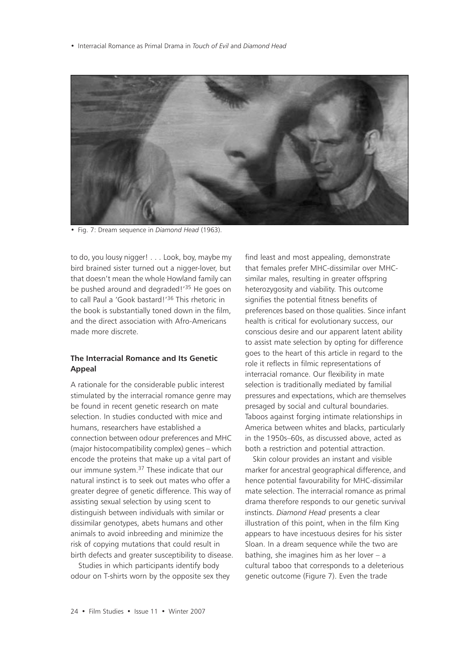• Interracial Romance as Primal Drama in *Touch of Evil* and *Diamond Head*



• Fig. 7: Dream sequence in *Diamond Head* (1963).

to do, you lousy nigger! . . . Look, boy, maybe my bird brained sister turned out a nigger-lover, but that doesn't mean the whole Howland family can be pushed around and degraded!<sup>35</sup> He goes on to call Paul a 'Gook bastard!'36 This rhetoric in the book is substantially toned down in the film, and the direct association with Afro-Americans made more discrete.

### **The Interracial Romance and Its Genetic Appeal**

A rationale for the considerable public interest stimulated by the interracial romance genre may be found in recent genetic research on mate selection. In studies conducted with mice and humans, researchers have established a connection between odour preferences and MHC (major histocompatibility complex) genes – which encode the proteins that make up a vital part of our immune system.37 These indicate that our natural instinct is to seek out mates who offer a greater degree of genetic difference. This way of assisting sexual selection by using scent to distinguish between individuals with similar or dissimilar genotypes, abets humans and other animals to avoid inbreeding and minimize the risk of copying mutations that could result in birth defects and greater susceptibility to disease.

Studies in which participants identify body odour on T-shirts worn by the opposite sex they find least and most appealing, demonstrate that females prefer MHC-dissimilar over MHCsimilar males, resulting in greater offspring heterozygosity and viability. This outcome signifies the potential fitness benefits of preferences based on those qualities. Since infant health is critical for evolutionary success, our conscious desire and our apparent latent ability to assist mate selection by opting for difference goes to the heart of this article in regard to the role it reflects in filmic representations of interracial romance. Our flexibility in mate selection is traditionally mediated by familial pressures and expectations, which are themselves presaged by social and cultural boundaries. Taboos against forging intimate relationships in America between whites and blacks, particularly in the 1950s–60s, as discussed above, acted as both a restriction and potential attraction.

Skin colour provides an instant and visible marker for ancestral geographical difference, and hence potential favourability for MHC-dissimilar mate selection. The interracial romance as primal drama therefore responds to our genetic survival instincts. *Diamond Head* presents a clear illustration of this point, when in the film King appears to have incestuous desires for his sister Sloan. In a dream sequence while the two are bathing, she imagines him as her lover – a cultural taboo that corresponds to a deleterious genetic outcome (Figure 7). Even the trade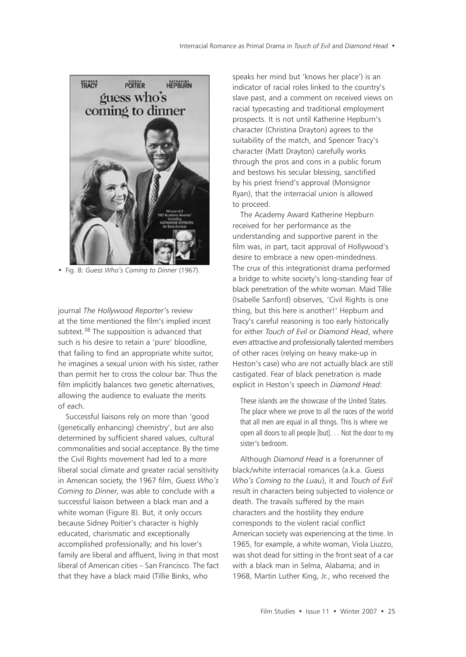

• Fig. 8: *Guess Who's Coming to Dinner* (1967).

journal *The Hollywood Reporter'*s review at the time mentioned the film's implied incest subtext.<sup>38</sup> The supposition is advanced that such is his desire to retain a 'pure' bloodline, that failing to find an appropriate white suitor, he imagines a sexual union with his sister, rather than permit her to cross the colour bar. Thus the film implicitly balances two genetic alternatives, allowing the audience to evaluate the merits of each.

Successful liaisons rely on more than 'good (genetically enhancing) chemistry', but are also determined by sufficient shared values, cultural commonalities and social acceptance. By the time the Civil Rights movement had led to a more liberal social climate and greater racial sensitivity in American society, the 1967 film, *Guess Who's Coming to Dinner*, was able to conclude with a successful liaison between a black man and a white woman (Figure 8). But, it only occurs because Sidney Poitier's character is highly educated, charismatic and exceptionally accomplished professionally; and his lover's family are liberal and affluent, living in that most liberal of American cities – San Francisco. The fact that they have a black maid (Tillie Binks, who

speaks her mind but 'knows her place') is an indicator of racial roles linked to the country's slave past, and a comment on received views on racial typecasting and traditional employment prospects. It is not until Katherine Hepburn's character (Christina Drayton) agrees to the suitability of the match, and Spencer Tracy's character (Matt Drayton) carefully works through the pros and cons in a public forum and bestows his secular blessing, sanctified by his priest friend's approval (Monsignor Ryan), that the interracial union is allowed to proceed.

The Academy Award Katherine Hepburn received for her performance as the understanding and supportive parent in the film was, in part, tacit approval of Hollywood's desire to embrace a new open-mindedness. The crux of this integrationist drama performed a bridge to white society's long-standing fear of black penetration of the white woman. Maid Tillie (Isabelle Sanford) observes, 'Civil Rights is one thing, but this here is another!' Hepburn and Tracy's careful reasoning is too early historically for either *Touch of Evil* or *Diamond Head*, where even attractive and professionally talented members of other races (relying on heavy make-up in Heston's case) who are not actually black are still castigated. Fear of black penetration is made explicit in Heston's speech in *Diamond Head*:

These islands are the showcase of the United States. The place where we prove to all the races of the world that all men are equal in all things. This is where we open all doors to all people [but]. . . Not the door to my sister's bedroom.

Although *Diamond Head* is a forerunner of black/white interracial romances (a.k.a. *Guess Who's Coming to the Luau*), it and *Touch of Evil* result in characters being subjected to violence or death. The travails suffered by the main characters and the hostility they endure corresponds to the violent racial conflict American society was experiencing at the time. In 1965, for example, a white woman, Viola Liuzzo, was shot dead for sitting in the front seat of a car with a black man in Selma, Alabama; and in 1968, Martin Luther King, Jr., who received the